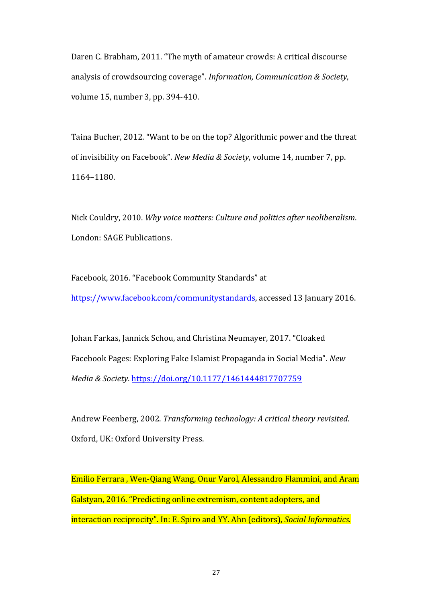Daren C. Brabham, 2011. "The myth of amateur crowds: A critical discourse analysis of crowdsourcing coverage". *Information, Communication & Society*, volume 15, number 3, pp. 394-410.

Taina Bucher, 2012. "Want to be on the top? Algorithmic power and the threat of invisibility on Facebook". *New Media & Society*, volume 14, number 7, pp. 1164–1180. 

Nick Couldry, 2010. Why voice matters: Culture and politics after neoliberalism. London: SAGE Publications.

Facebook, 2016. "Facebook Community Standards" at https://www.facebook.com/communitystandards, accessed 13 January 2016.

Johan Farkas, Jannick Schou, and Christina Neumayer, 2017. "Cloaked Facebook Pages: Exploring Fake Islamist Propaganda in Social Media". *New Media & Society*. https://doi.org/10.1177/1461444817707759

Andrew Feenberg, 2002. *Transforming technology: A critical theory revisited.* Oxford, UK: Oxford University Press.

Emilio Ferrara, Wen-Qiang Wang, Onur Varol, Alessandro Flammini, and Aram Galstyan, 2016. "Predicting online extremism, content adopters, and interaction reciprocity". In: E. Spiro and YY. Ahn (editors), *Social Informatics.*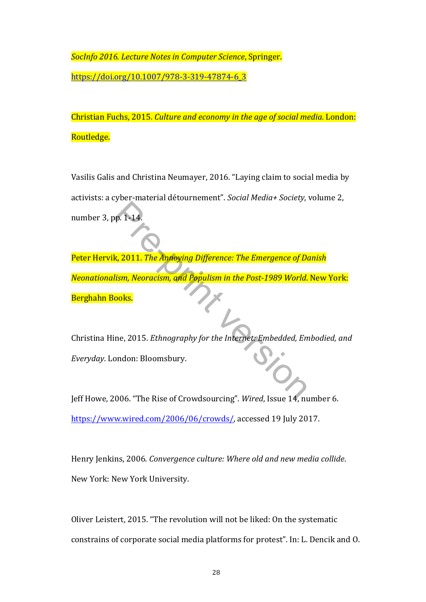**SocInfo 2016. Lecture Notes in Computer Science, Springer.** https://doi.org/10.1007/978-3-319-47874-6\_3

Christian Fuchs, 2015. *Culture and economy in the age of social media*. London: Routledge.

Vasilis Galis and Christina Neumayer, 2016. "Laying claim to social media by activists: a cyber-material détournement". Social Media+ Society, volume 2, number 3, pp. 1-14.

Peter Hervik, 2011. *The Annoying Difference: The Emergence of Danish Neonationalism, Neoracism, and Populism in the Post-1989 World.* New York: Berghahn Books. Pre-1-14.<br>
R. 2011. The Annoying Difference: The Emergence of Delism, Neoracism, and Populism in the Post-1989 World.<br>
Nooks.<br>
The 2015. Ethnography for the Internet: Embedded, Enondon: Bloomsbury.

Christina Hine, 2015. *Ethnography for the Internet: Embedded, Embodied, and Everyday*. London: Bloomsbury.

Jeff Howe, 2006. "The Rise of Crowdsourcing". Wired, Issue 14, number 6. https://www.wired.com/2006/06/crowds/, accessed 19 July 2017.

Henry Jenkins, 2006. *Convergence culture: Where old and new media collide.* New York: New York University.

Oliver Leistert, 2015. "The revolution will not be liked: On the systematic constrains of corporate social media platforms for protest". In: L. Dencik and O.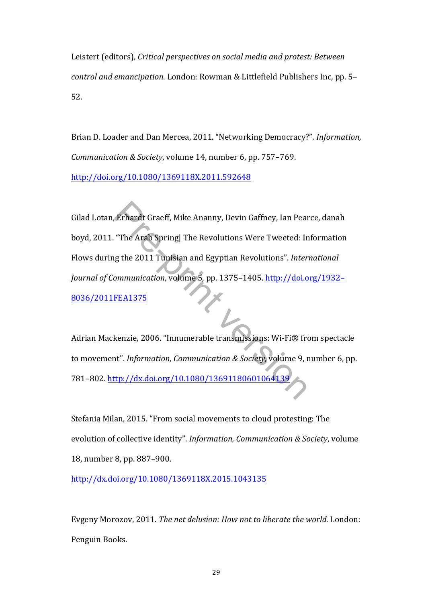Leistert (editors), *Critical perspectives on social media and protest: Between control and emancipation*. London: Rowman & Littlefield Publishers Inc, pp. 5-52.

Brian D. Loader and Dan Mercea, 2011. "Networking Democracy?". *Information*, *Communication & Society*, volume 14, number 6, pp. 757-769. http://doi.org/10.1080/1369118X.2011.592648

Gilad Lotan, Erhardt Graeff, Mike Ananny, Devin Gaffney, Ian Pearce, danah boyd, 2011. "The Arab Spring| The Revolutions Were Tweeted: Information Flows during the 2011 Tunisian and Egyptian Revolutions". International *Journal of Communication, volume* 5, pp. 1375-1405. http://doi.org/1932-8036/2011FEA1375 Erhardt Graeff, Mike Ananny, Devin Gaffney, Ian Pea<br>
"The Arab Spring| The Revolutions Were Tweeted: Ir<br>
19 the 2011 Tunisian and Egyptian Revolutions". Inter<br>
0. Inter<br>
0. Internation, volume 5, pp. 1375–1405. http://doi.

Adrian Mackenzie, 2006. "Innumerable transmissions: Wi-Fi® from spectacle to movement". *Information, Communication & Society, volume* 9, number 6, pp. 781-802. http://dx.doi.org/10.1080/1369118060106413

Stefania Milan, 2015. "From social movements to cloud protesting: The evolution of collective identity". *Information, Communication & Society*, volume 18, number 8, pp. 887-900.

http://dx.doi.org/10.1080/1369118X.2015.1043135

Evgeny Morozov, 2011. The net delusion: How not to liberate the world. London: Penguin Books.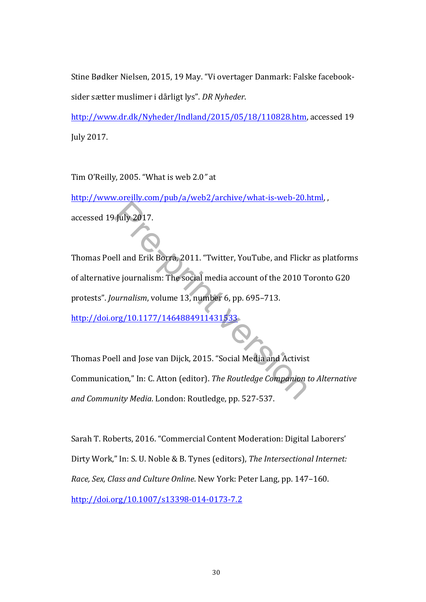Stine Bødker Nielsen, 2015, 19 May. "Vi overtager Danmark: Falske facebooksider sætter muslimer i dårligt lys". DR Nyheder.

http://www.dr.dk/Nyheder/Indland/2015/05/18/110828.htm, accessed 19 July 2017.

Tim O'Reilly, 2005. "What is web 2.0" at

http://www.oreilly.com/pub/a/web2/archive/what-is-web-20.html, accessed 19 July 2017.

Thomas Poell and Erik Borra, 2011. "Twitter, YouTube, and Flickr as platforms of alternative journalism: The social media account of the 2010 Toronto G20 protests". *Journalism*, volume 13, number 6, pp. 695-713. http://doi.org/10.1177/1464884911431533 Fuly 2017.<br>
Ell and Erik Borra, 2011. "Twitter, YouTube, and Flick<br>
Ve journalism: The social media account of the 2010 T<br>
Purnalism, volume 13, number 6, pp. 695–713.<br>
Purnalism, volume 13, number 6, pp. 695–713.<br>
Purnali

Thomas Poell and Jose van Dijck, 2015. "Social Media and Activist Communication," In: C. Atton (editor). The Routledge Companion to Alternative and Community Media. London: Routledge, pp. 527-537.

Sarah T. Roberts, 2016. "Commercial Content Moderation: Digital Laborers' Dirty Work," In: S. U. Noble & B. Tynes (editors), The Intersectional Internet: *Race, Sex, Class and Culture Online*. New York: Peter Lang, pp. 147-160. http://doi.org/10.1007/s13398-014-0173-7.2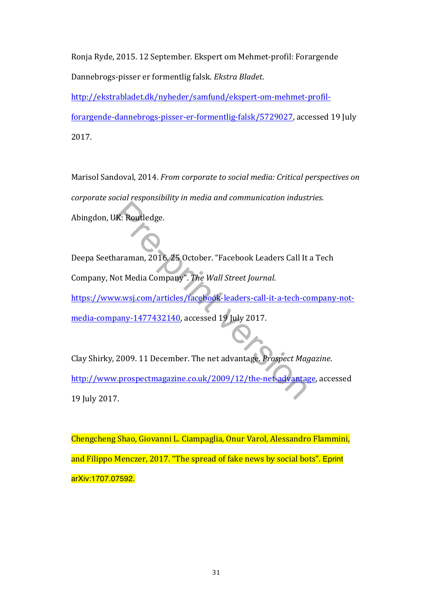Ronja Ryde, 2015. 12 September. Ekspert om Mehmet-profil: Forargende Dannebrogs-pisser er formentlig falsk. Ekstra Bladet.

http://ekstrabladet.dk/nyheder/samfund/ekspert-om-mehmet-profil-

forargende-dannebrogs-pisser-er-formentlig-falsk/5729027, accessed 19 July 2017.

Marisol Sandoval, 2014. *From corporate to social media: Critical perspectives on corporate social responsibility in media and communication industries.* Abingdon, UK: Routledge.

Deepa Seetharaman, 2016. 25 October. "Facebook Leaders Call It a Tech Company, Not Media Company". The Wall Street Journal. https://www.wsj.com/articles/facebook-leaders-call-it-a-tech-company-notmedia-company-1477432140, accessed 19 July 2017. JK: Routledge.<br>
naraman, 2016. 25 October. "Facebook Leaders Call It<br>
lot Media Company". The Wall Street Journal.<br>
w.wsj.com/articles/facebook-leaders-call-it-a-tech-co<br>
pany-1477432140, accessed 19 July 2017.<br>
2009. 11 D

Clay Shirky, 2009. 11 December. The net advantage. *Prospect Magazine*. http://www.prospectmagazine.co.uk/2009/12/the-net-advantage, accessed 19 July 2017.

Chengcheng Shao, Giovanni L. Ciampaglia, Onur Varol, Alessandro Flammini, and Filippo Menczer, 2017. "The spread of fake news by social bots". Eprint arXiv:1707.07592.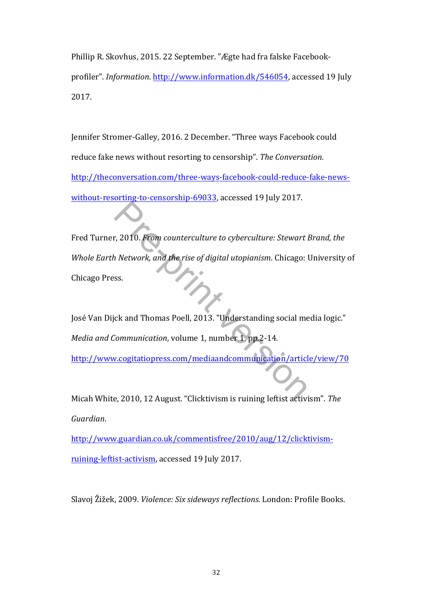Phillip R. Skovhus, 2015. 22 September. "Ægte had fra falske Facebookprofiler". *Information*. http://www.information.dk/546054, accessed 19 July 2017.

Jennifer Stromer-Galley, 2016. 2 December. "Three ways Facebook could reduce fake news without resorting to censorship". The Conversation. http://theconversation.com/three-ways-facebook-could-reduce-fake-newswithout-resorting-to-censorship-69033, accessed 19 July 2017.

Fred Turner, 2010. *From counterculture to cyberculture: Stewart Brand, the Whole Earth Network, and the rise of digital utopianism. Chicago: University of* Chicago Press. r, 2010. From counterculture to cyberculture: Stewart is<br>
the rise of digital utopianism. Chicago:<br>
S.S.<br>
S.S.<br>
S.S.<br>
S.S.<br>
S.C. Communication, volume 1, number 1, pp.2-14.<br>
N.Contraction is and the rise of media<br>
Communic

José Van Dijck and Thomas Poell, 2013. "Understanding social media logic." *Media and Communication*, volume 1, number 1, pp.2-14.

http://www.cogitatiopress.com/mediaandcommunication/article/view/70

Micah White, 2010, 12 August. "Clicktivism is ruining leftist activism". The *Guardian*. 

http://www.guardian.co.uk/commentisfree/2010/aug/12/clicktivismruining-leftist-activism, accessed 19 July 2017.

Slavoj Žižek, 2009. *Violence: Six sideways reflections.* London: Profile Books.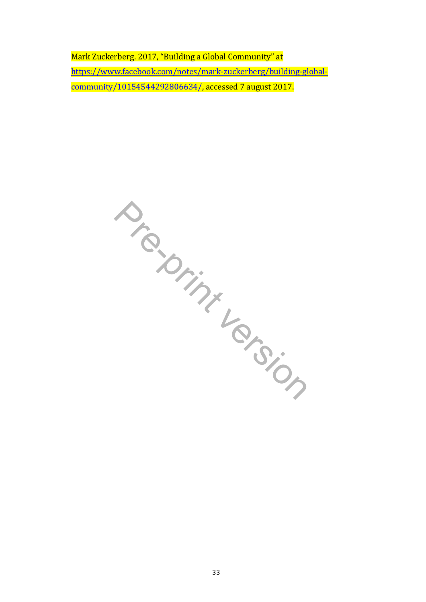Mark Zuckerberg. 2017, "Building a Global Community" at https://www.facebook.com/notes/mark-zuckerberg/building-globalcommunity/10154544292806634/, accessed 7 august 2017.

**Pre-print version**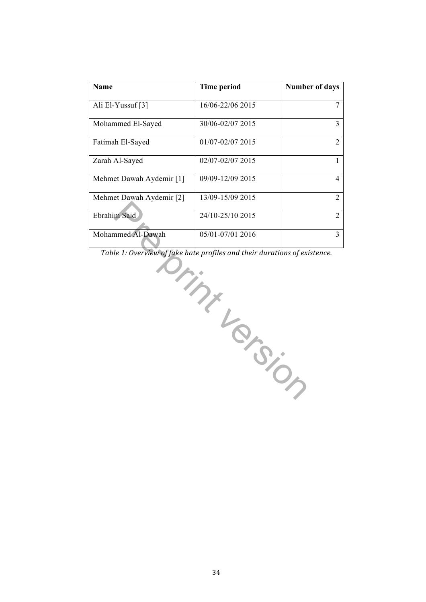| Name                     | <b>Time period</b> | <b>Number of days</b> |
|--------------------------|--------------------|-----------------------|
| Ali El-Yussuf [3]        | 16/06-22/06 2015   |                       |
| Mohammed El-Sayed        | 30/06-02/07 2015   |                       |
| Fatimah El-Sayed         | 01/07-02/07 2015   |                       |
| Zarah Al-Sayed           | 02/07-02/07 2015   |                       |
| Mehmet Dawah Aydemir [1] | 09/09-12/09 2015   | 4                     |
| Mehmet Dawah Aydemir [2] | 13/09-15/09 2015   |                       |
| Ebrahim Said             | 24/10-25/10 2015   |                       |
| Mohammed Al-Dawah        | 05/01-07/01 2016   |                       |

Table 1: Overview of fake hate profiles and their durations of existence.

m Said<br>
24/10-25/10 2015<br>
nmed Al-Dawah<br>
16/01-07/01 2016<br>
16<br>
16<br>
21: Overview of fake hate profiles and their durations of ex.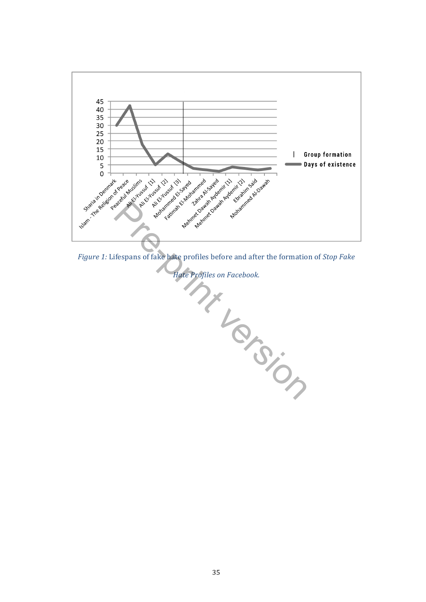

*Figure 1:* Lifespans of fake hate profiles before and after the formation of *Stop Fake*